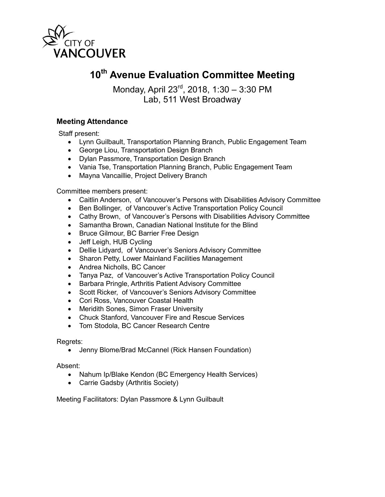

# **10th Avenue Evaluation Committee Meeting**

Monday, April 23rd, 2018, 1:30 – 3:30 PM Lab, 511 West Broadway

# **Meeting Attendance**

Staff present:

- Lynn Guilbault, Transportation Planning Branch, Public Engagement Team
- George Liou, Transportation Design Branch
- Dylan Passmore, Transportation Design Branch
- Vania Tse, Transportation Planning Branch, Public Engagement Team
- Mayna Vancaillie, Project Delivery Branch

## Committee members present:

- Caitlin Anderson, of Vancouver's Persons with Disabilities Advisory Committee
- Ben Bollinger, of Vancouver's Active Transportation Policy Council
- Cathy Brown, of Vancouver's Persons with Disabilities Advisory Committee
- Samantha Brown, Canadian National Institute for the Blind
- Bruce Gilmour, BC Barrier Free Design
- Jeff Leigh, HUB Cycling
- Dellie Lidyard, of Vancouver's Seniors Advisory Committee
- Sharon Petty, Lower Mainland Facilities Management
- Andrea Nicholls, BC Cancer
- Tanya Paz, of Vancouver's Active Transportation Policy Council
- Barbara Pringle, Arthritis Patient Advisory Committee
- Scott Ricker, of Vancouver's Seniors Advisory Committee
- Cori Ross, Vancouver Coastal Health
- Meridith Sones, Simon Fraser University
- Chuck Stanford, Vancouver Fire and Rescue Services
- Tom Stodola, BC Cancer Research Centre

### Regrets:

• Jenny Blome/Brad McCannel (Rick Hansen Foundation)

### Absent:

- Nahum Ip/Blake Kendon (BC Emergency Health Services)
- Carrie Gadsby (Arthritis Society)

Meeting Facilitators: Dylan Passmore & Lynn Guilbault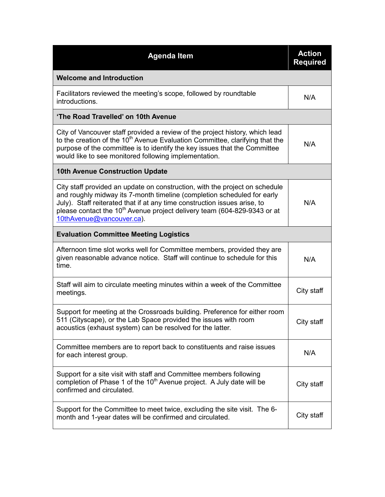| <b>Agenda Item</b>                                                                                                                                                                                                                                                                                                                                       | <b>Action</b><br><b>Required</b> |  |
|----------------------------------------------------------------------------------------------------------------------------------------------------------------------------------------------------------------------------------------------------------------------------------------------------------------------------------------------------------|----------------------------------|--|
| <b>Welcome and Introduction</b>                                                                                                                                                                                                                                                                                                                          |                                  |  |
| Facilitators reviewed the meeting's scope, followed by roundtable<br>introductions.                                                                                                                                                                                                                                                                      | N/A                              |  |
| 'The Road Travelled' on 10th Avenue                                                                                                                                                                                                                                                                                                                      |                                  |  |
| City of Vancouver staff provided a review of the project history, which lead<br>to the creation of the 10 <sup>th</sup> Avenue Evaluation Committee, clarifying that the<br>purpose of the committee is to identify the key issues that the Committee<br>would like to see monitored following implementation.                                           | N/A                              |  |
| <b>10th Avenue Construction Update</b>                                                                                                                                                                                                                                                                                                                   |                                  |  |
| City staff provided an update on construction, with the project on schedule<br>and roughly midway its 7-month timeline (completion scheduled for early<br>July). Staff reiterated that if at any time construction issues arise, to<br>please contact the 10 <sup>th</sup> Avenue project delivery team (604-829-9343 or at<br>10thAvenue@vancouver.ca). | N/A                              |  |
| <b>Evaluation Committee Meeting Logistics</b>                                                                                                                                                                                                                                                                                                            |                                  |  |
| Afternoon time slot works well for Committee members, provided they are<br>given reasonable advance notice. Staff will continue to schedule for this<br>time.                                                                                                                                                                                            | N/A                              |  |
| Staff will aim to circulate meeting minutes within a week of the Committee<br>meetings.                                                                                                                                                                                                                                                                  | City staff                       |  |
| Support for meeting at the Crossroads building. Preference for either room<br>511 (Cityscape), or the Lab Space provided the issues with room<br>acoustics (exhaust system) can be resolved for the latter.                                                                                                                                              | City staff                       |  |
| Committee members are to report back to constituents and raise issues<br>for each interest group.                                                                                                                                                                                                                                                        | N/A                              |  |
| Support for a site visit with staff and Committee members following<br>completion of Phase 1 of the 10 <sup>th</sup> Avenue project. A July date will be<br>confirmed and circulated.                                                                                                                                                                    | City staff                       |  |
| Support for the Committee to meet twice, excluding the site visit. The 6-<br>month and 1-year dates will be confirmed and circulated.                                                                                                                                                                                                                    | City staff                       |  |